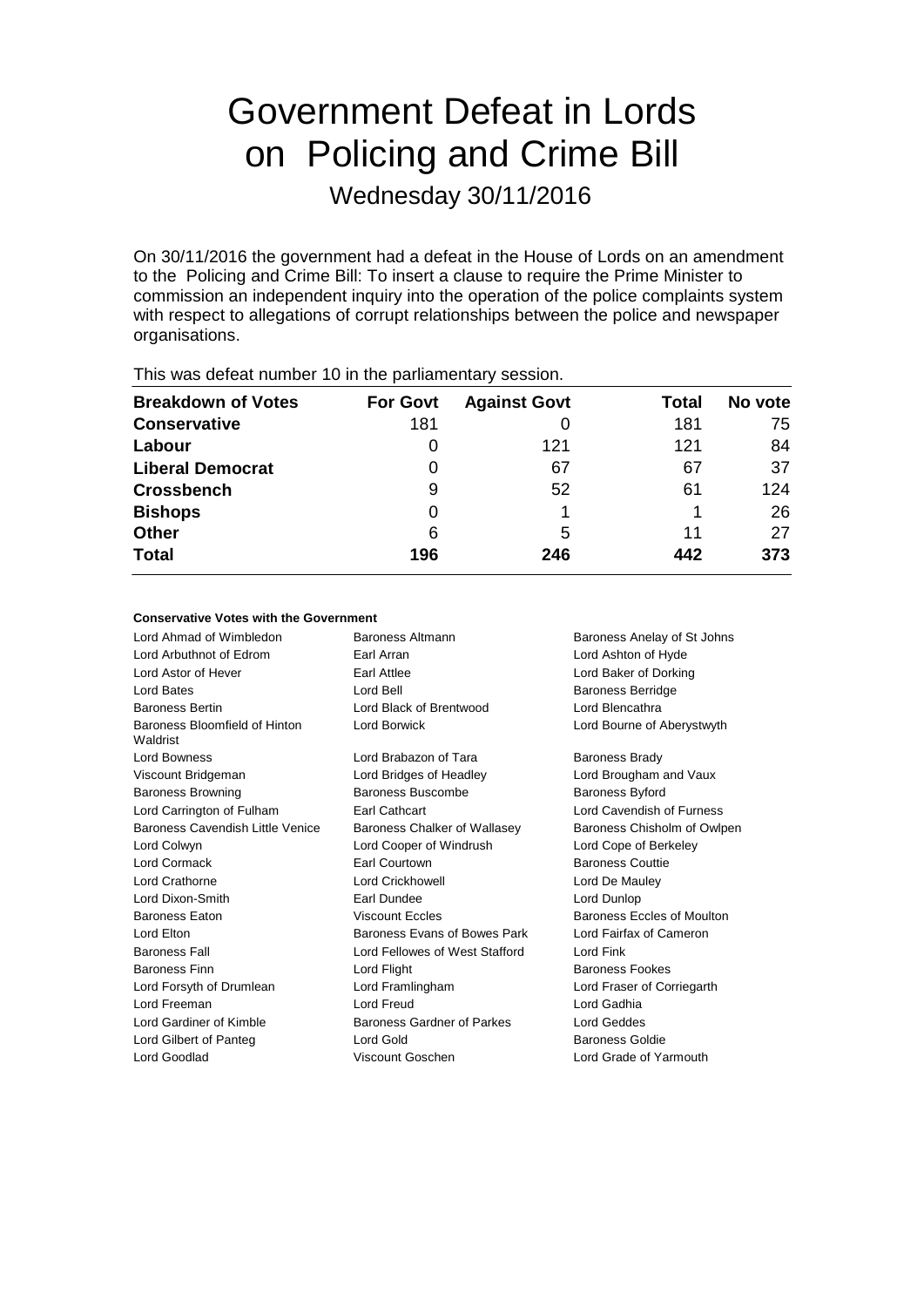# Government Defeat in Lords on Policing and Crime Bill

Wednesday 30/11/2016

On 30/11/2016 the government had a defeat in the House of Lords on an amendment to the Policing and Crime Bill: To insert a clause to require the Prime Minister to commission an independent inquiry into the operation of the police complaints system with respect to allegations of corrupt relationships between the police and newspaper organisations.

| <b>THIS WAS ACTUALTIQUIDED</b> TO IT THE PAINMING HALLY SUSSION. |                 |                     |       |         |  |
|------------------------------------------------------------------|-----------------|---------------------|-------|---------|--|
| <b>Breakdown of Votes</b>                                        | <b>For Govt</b> | <b>Against Govt</b> | Total | No vote |  |
| <b>Conservative</b>                                              | 181             |                     | 181   | 75      |  |
| Labour                                                           | 0               | 121                 | 121   | 84      |  |
| <b>Liberal Democrat</b>                                          | 0               | 67                  | 67    | 37      |  |
| <b>Crossbench</b>                                                | 9               | 52                  | 61    | 124     |  |
| <b>Bishops</b>                                                   | O               |                     |       | 26      |  |
| <b>Other</b>                                                     | 6               | 5                   | 11    | 27      |  |
| <b>Total</b>                                                     | 196             | 246                 | 442   | 373     |  |
|                                                                  |                 |                     |       |         |  |

This was defeat number 10 in the parliamentary session.

#### **Conservative Votes with the Government**

| Lord Ahmad of Wimbledon                   | Baroness Altmann               | Baroness Anelay of St Johns |
|-------------------------------------------|--------------------------------|-----------------------------|
| Lord Arbuthnot of Edrom                   | Earl Arran                     | Lord Ashton of Hyde         |
| Lord Astor of Hever                       | Earl Attlee                    | Lord Baker of Dorking       |
| Lord Bates                                | Lord Bell                      | <b>Baroness Berridge</b>    |
| <b>Baroness Bertin</b>                    | Lord Black of Brentwood        | Lord Blencathra             |
| Baroness Bloomfield of Hinton<br>Waldrist | <b>Lord Borwick</b>            | Lord Bourne of Aberystwyth  |
| <b>Lord Bowness</b>                       | Lord Brabazon of Tara          | <b>Baroness Brady</b>       |
| Viscount Bridgeman                        | Lord Bridges of Headley        | Lord Brougham and Vaux      |
| <b>Baroness Browning</b>                  | Baroness Buscombe              | <b>Baroness Byford</b>      |
| Lord Carrington of Fulham                 | Earl Cathcart                  | Lord Cavendish of Furness   |
| Baroness Cavendish Little Venice          | Baroness Chalker of Wallasey   | Baroness Chisholm of Owlpen |
| Lord Colwyn                               | Lord Cooper of Windrush        | Lord Cope of Berkeley       |
| Lord Cormack                              | Earl Courtown                  | <b>Baroness Couttie</b>     |
| Lord Crathorne                            | <b>Lord Crickhowell</b>        | Lord De Mauley              |
| Lord Dixon-Smith                          | Farl Dundee                    | Lord Dunlop                 |
| Baroness Eaton                            | <b>Viscount Eccles</b>         | Baroness Eccles of Moulton  |
| Lord Elton                                | Baroness Evans of Bowes Park   | Lord Fairfax of Cameron     |
| <b>Baroness Fall</b>                      | Lord Fellowes of West Stafford | Lord Fink                   |
| <b>Baroness Finn</b>                      | Lord Flight                    | <b>Baroness Fookes</b>      |
| Lord Forsyth of Drumlean                  | Lord Framlingham               | Lord Fraser of Corriegarth  |
| Lord Freeman                              | <b>Lord Freud</b>              | Lord Gadhia                 |
| Lord Gardiner of Kimble                   | Baroness Gardner of Parkes     | <b>Lord Geddes</b>          |
| Lord Gilbert of Panteg                    | Lord Gold                      | Baroness Goldie             |
| Lord Goodlad                              | Viscount Goschen               | Lord Grade of Yarmouth      |
|                                           |                                |                             |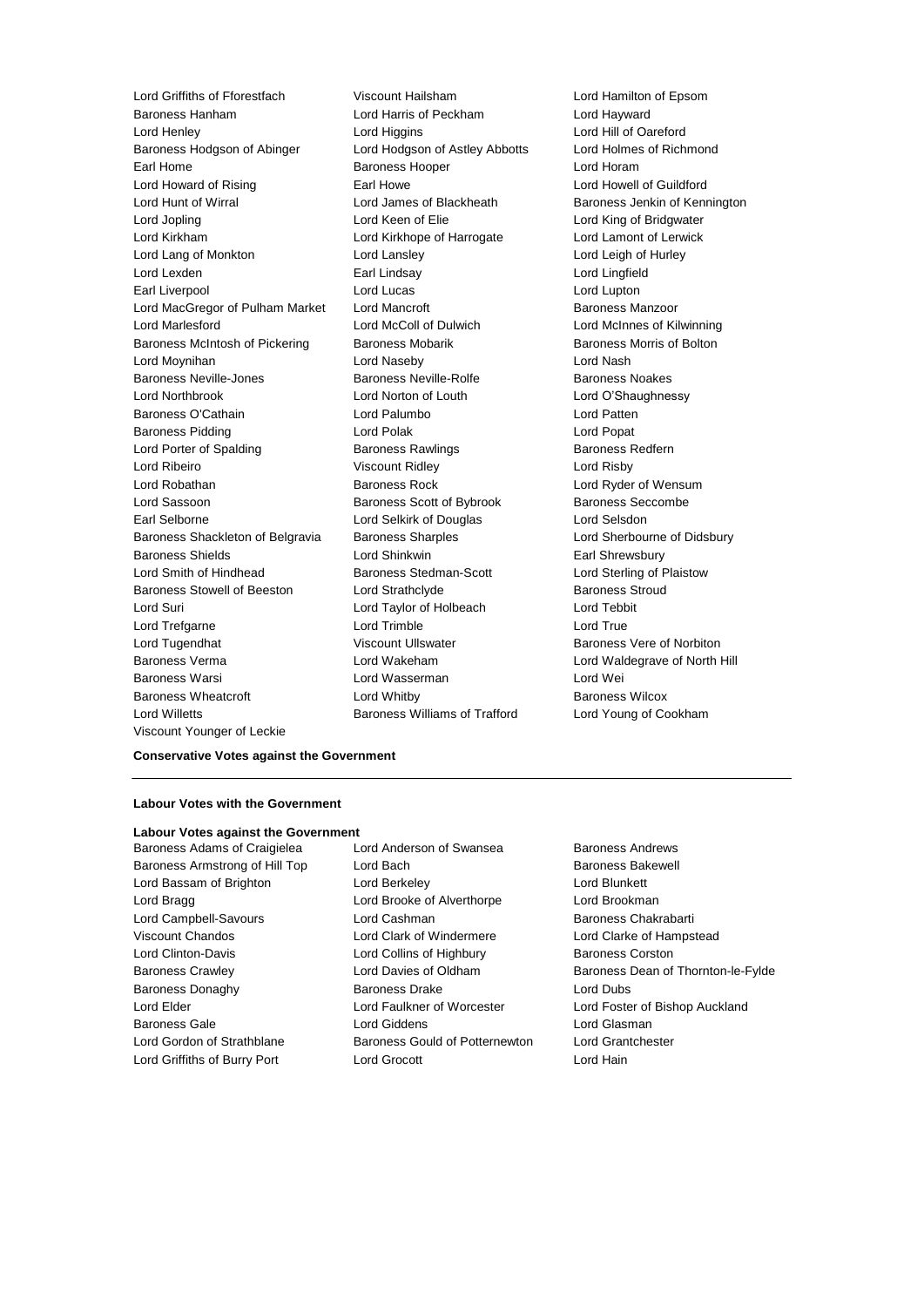Baroness Hanham Lord Harris of Peckham Lord Hayward Lord Henley **Lord Hill of Oareford**<br> **Lord Hill of Oareford**<br> **Baroness Hodason of Abinger Lord Hold Lord Hold Construct Construct Construct Construct Construct Construct Construct Construct Construct Construct Construc** Baroness Hodgson of Abinger Lord Hodgson of Astley Abbotts Earl Home **Baroness Hooper Baroness Hooper Lord Horam** Lord Howard of Rising **Earl Howe** Earl Howe Lord Howell of Guildford Lord Hunt of Wirral **Lord James of Blackheath** Baroness Jenkin of Kennington Lord Jopling **Lord Communist Lord Keen of Elie** Lord King of Bridgwater Lord Kirkham Lord Kirkhope of Harrogate Lord Lamont of Lerwick Lord Lang of Monkton Lord Lansley Lord Leigh of Hurley Lord Lexden Earl Lindsay Lord Lingfield Earl Liverpool **Lord Lucas** Lord Lucas Lord Lupton Lord MacGregor of Pulham Market Lord Mancroft **Baroness Manzoor** Lord Marlesford Lord McColl of Dulwich Lord McInnes of Kilwinning Baroness McIntosh of Pickering Baroness Mobarik Baroness Morris of Bolton Lord Moynihan Lord Naseby Lord Nash Baroness Neville-Jones **Baroness Neville-Rolfe** Baroness Neville-Baroness Noakes Lord Northbrook Lord Norton of Louth Lord O'Shaughnessy Baroness O'Cathain Lord Palumbo Lord Patten Baroness Pidding **Lord Polak** Lord Polak Lord Popat Lord Porter of Spalding **Baroness Rawlings** Baroness Redfern Lord Ribeiro Viscount Ridley Lord Risby Lord Robathan Baroness Rock Lord Ryder of Wensum Lord Sassoon Baroness Scott of Bybrook Baroness Seccombe Earl Selborne Lord Selkirk of Douglas Lord Selsdon Baroness Shackleton of Belgravia Baroness Sharples **Lord Sherbourne of Didsbury** Baroness Shields **Earl Shinkwin** Lord Shinkwin **Earl Shrewsbury** Lord Smith of Hindhead Baroness Stedman-Scott Lord Sterling of Plaistow Baroness Stowell of Beeston Lord Strathclyde **Baroness Stroud** Lord Suri Lord Taylor of Holbeach Lord Tebbit Lord Trefgarne **Lord Trimble** Lord Trimble **Lord True** Lord Tugendhat **Viscount Ullswater** Baroness Vere of Norbiton Baroness Verma **Lord Wakeham** Lord Waldegrave of North Hill Baroness Warsi Lord Wasserman Lord Wei Baroness Wheatcroft Lord Whitby Baroness Wilcox Lord Willetts Baroness Williams of Trafford Lord Young of Cookham Viscount Younger of Leckie

Lord Griffiths of Fforestfach Viscount Hailsham Lord Hamilton of Epsom

#### **Conservative Votes against the Government**

#### **Labour Votes with the Government**

# **Labour Votes against the Government**

Baroness Armstrong of Hill Top Lord Bach Baroness Bakewell Lord Bassam of Brighton Lord Berkeley Lord Blunkett Lord Bragg **Lord Brooke of Alverthorpe** Lord Brookman Lord Campbell-Savours Lord Cashman Baroness Chakrabarti Viscount Chandos Lord Clark of Windermere Lord Clarke of Hampstead Lord Clinton-Davis **Lord Collins of Highbury** Baroness Corston Baroness Donaghy Baroness Drake Lord Dubs Baroness Gale **Lord Giddens** Lord Giddens **Lord Gigaman** Lord Gordon of Strathblane **Baroness Gould of Potternewton** Lord Grantchester Lord Griffiths of Burry Port Lord Grocott Lord Hain

Baroness Adams of Craigielea Lord Anderson of Swansea Baroness Andrews

Baroness Crawley **Carroll** Lord Davies of Oldham Baroness Dean of Thornton-le-Fylde Lord Elder Lord Faulkner of Worcester Lord Foster of Bishop Auckland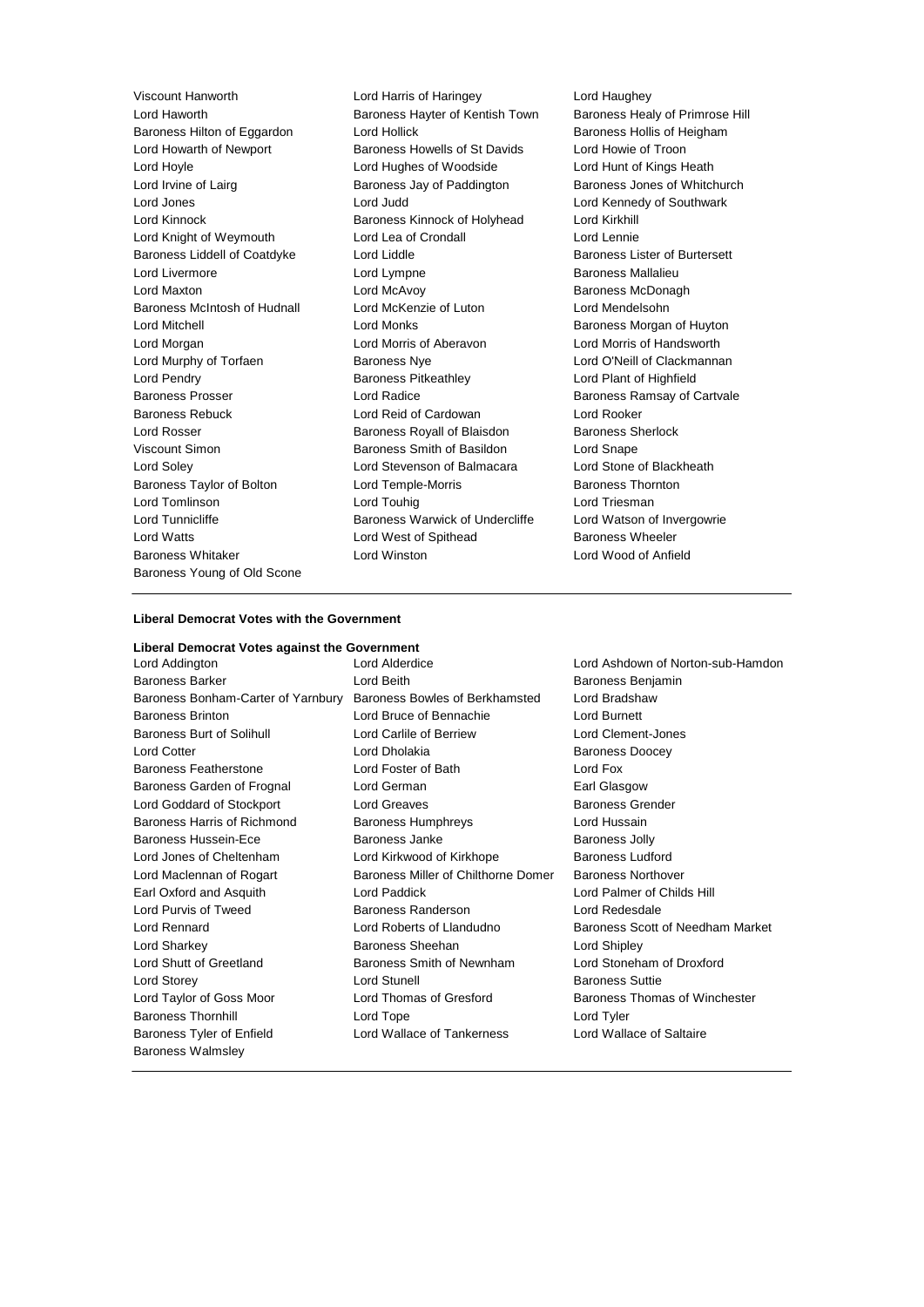Baroness Young of Old Scone

Viscount Hanworth Lord Harris of Haringey Lord Haughey Lord Haworth Baroness Hayter of Kentish Town Baroness Healy of Primrose Hill Baroness Hilton of Eggardon Lord Hollick Baroness Hollis of Heigham Lord Howarth of Newport Baroness Howells of St Davids Lord Howie of Troon Lord Hoyle Lord Hughes of Woodside Lord Hunt of Kings Heath Lord Irvine of Lairg **Baroness Jay of Paddington** Baroness Jones of Whitchurch Lord Jones Lord Judd Lord Kennedy of Southwark Lord Kinnock Baroness Kinnock of Holyhead Lord Kirkhill Lord Knight of Weymouth Lord Lea of Crondall Lord Lord Lennie Baroness Liddell of Coatdyke Lord Liddle Lord Baroness Lister of Burtersett Lord Livermore Lord Lympne Baroness Mallalieu Lord Maxton **Lord McAvoy Community** Lord McAvoy **Baroness McDonagh** Baroness McIntosh of Hudnall Lord McKenzie of Luton Lord Mendelsohn Lord Mitchell **Lord Monks** Lord Monks **Baroness Morgan of Huyton** Lord Morgan Lord Morris of Aberavon Lord Morris of Handsworth Lord Murphy of Torfaen **Baroness Nye** Lord O'Neill of Clackmannan Lord Pendry Baroness Pitkeathley Lord Plant of Highfield Baroness Prosser **Baroness Prosser Lord Radice Baroness Ramsay of Cartvale** Baroness Rebuck Lord Reid of Cardowan Lord Rooker Lord Rosser Baroness Royall of Blaisdon Baroness Sherlock Viscount Simon Baroness Smith of Basildon Lord Snape Lord Soley Lord Stevenson of Balmacara Lord Stone of Blackheath Baroness Taylor of Bolton **Lord Temple-Morris Baroness Thornton** Lord Tomlinson **Lord Touhig** Lord Touhig Lord Triesman Lord Tunnicliffe **Baroness Warwick of Undercliffe** Lord Watson of Invergowrie Lord Watts **Lord West of Spithead** Baroness Wheeler Baroness Whitaker Lord Winston Lord Wood of Anfield

#### **Liberal Democrat Votes with the Government**

#### **Liberal Democrat Votes against the Government**

Lord Addington Lord Alderdice Lord Ashdown of Norton-sub-Hamdon Baroness Barker Lord Beith Baroness Benjamin Baroness Bonham-Carter of Yarnbury Baroness Bowles of Berkhamsted Lord Bradshaw Baroness Brinton Lord Bruce of Bennachie Lord Burnett Baroness Burt of Solihull Lord Carlile of Berriew Lord Clement-Jones Lord Cotter **Lord Dholakia** Baroness Doocey Baroness Featherstone Lord Foster of Bath Lord Fox Baroness Garden of Frognal Lord German Communication Carl Glasgow Lord Goddard of Stockport Lord Greaves **Baroness Grender** Baroness Grender Baroness Harris of Richmond Baroness Humphreys Lord Hussain Baroness Hussein-Ece **Baroness Janke** Baroness Jolly Lord Jones of Cheltenham **Lord Kirkwood of Kirkhope** Baroness Ludford Lord Maclennan of Rogart **Baroness Miller of Chilthorne Domer** Baroness Northover Earl Oxford and Asquith Lord Paddick Lord Palmer of Childs Hill Lord Purvis of Tweed Baroness Randerson Lord Redesdale Lord Rennard Lord Roberts of Llandudno Baroness Scott of Needham Market Lord Sharkey Baroness Sheehan Lord Shipley Lord Shutt of Greetland Baroness Smith of Newnham Lord Stoneham of Droxford Lord Storey **Lord Stunell** Lord Stunell **Baroness** Suttie Lord Taylor of Goss Moor Lord Thomas of Gresford Baroness Thomas of Winchester Baroness Thornhill Lord Tope Lord Tyler Baroness Tyler of Enfield Lord Wallace of Tankerness Lord Wallace of Saltaire Baroness Walmsley